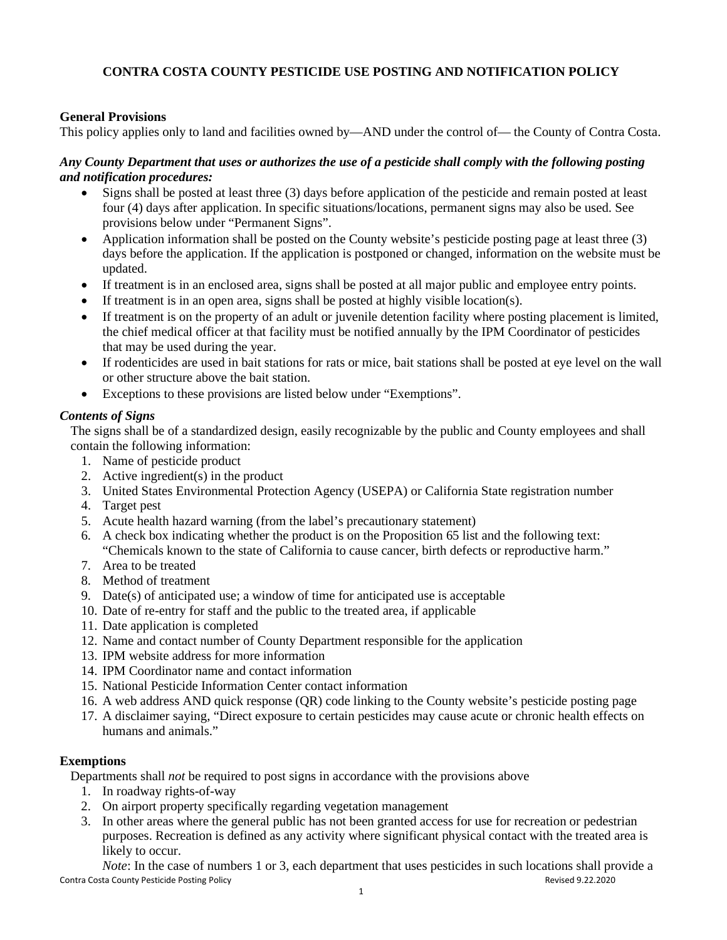# **CONTRA COSTA COUNTY PESTICIDE USE POSTING AND NOTIFICATION POLICY**

### **General Provisions**

This policy applies only to land and facilities owned by—AND under the control of— the County of Contra Costa.

#### *Any County Department that uses or authorizes the use of a pesticide shall comply with the following posting and notification procedures:*

- Signs shall be posted at least three (3) days before application of the pesticide and remain posted at least four (4) days after application. In specific situations/locations, permanent signs may also be used. See provisions below under "Permanent Signs".
- Application information shall be posted on the County website's pesticide posting page at least three (3) days before the application. If the application is postponed or changed, information on the website must be updated.
- If treatment is in an enclosed area, signs shall be posted at all major public and employee entry points.
- If treatment is in an open area, signs shall be posted at highly visible location(s).
- If treatment is on the property of an adult or juvenile detention facility where posting placement is limited, the chief medical officer at that facility must be notified annually by the IPM Coordinator of pesticides that may be used during the year.
- If rodenticides are used in bait stations for rats or mice, bait stations shall be posted at eye level on the wall or other structure above the bait station.
- Exceptions to these provisions are listed below under "Exemptions".

#### *Contents of Signs*

The signs shall be of a standardized design, easily recognizable by the public and County employees and shall contain the following information:

- 1. Name of pesticide product
- 2. Active ingredient(s) in the product
- 3. United States Environmental Protection Agency (USEPA) or California State registration number
- 4. Target pest
- 5. Acute health hazard warning (from the label's precautionary statement)
- 6. A check box indicating whether the product is on the Proposition 65 list and the following text: "Chemicals known to the state of California to cause cancer, birth defects or reproductive harm."
- 7. Area to be treated
- 8. Method of treatment
- 9. Date(s) of anticipated use; a window of time for anticipated use is acceptable
- 10. Date of re-entry for staff and the public to the treated area, if applicable
- 11. Date application is completed
- 12. Name and contact number of County Department responsible for the application
- 13. IPM website address for more information
- 14. IPM Coordinator name and contact information
- 15. National Pesticide Information Center contact information
- 16. A web address AND quick response (QR) code linking to the County website's pesticide posting page
- 17. A disclaimer saying, "Direct exposure to certain pesticides may cause acute or chronic health effects on humans and animals."

## **Exemptions**

Departments shall *not* be required to post signs in accordance with the provisions above

- 1. In roadway rights-of-way
- 2. On airport property specifically regarding vegetation management
- 3. In other areas where the general public has not been granted access for use for recreation or pedestrian purposes. Recreation is defined as any activity where significant physical contact with the treated area is likely to occur.

Contra Costa County Pesticide Posting Policy **Revised 9.22.2020** Revised 9.22.2020 *Note*: In the case of numbers 1 or 3, each department that uses pesticides in such locations shall provide a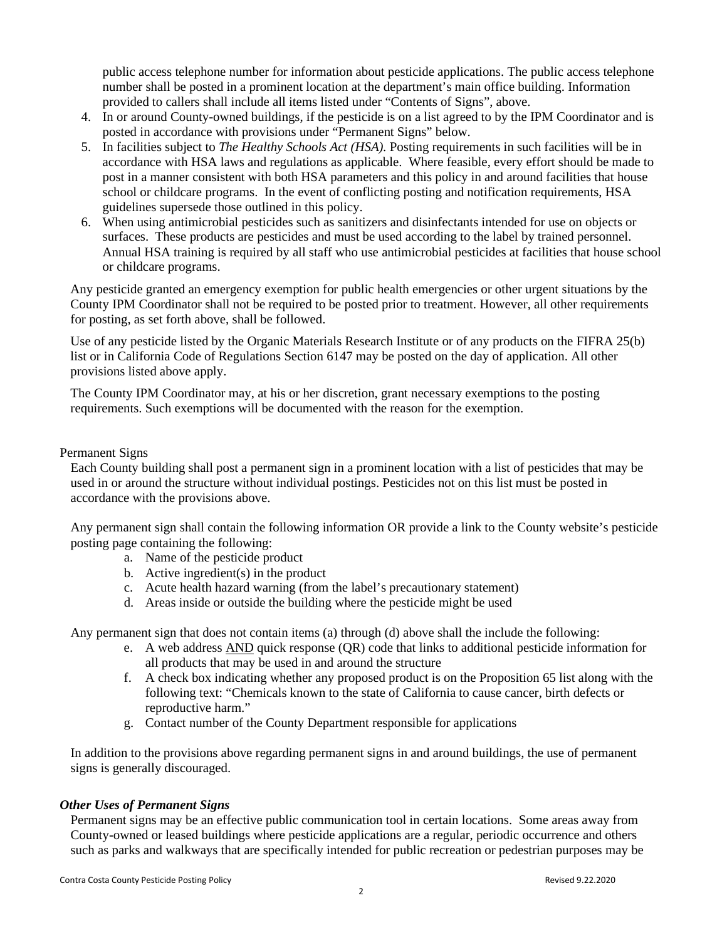public access telephone number for information about pesticide applications. The public access telephone number shall be posted in a prominent location at the department's main office building. Information provided to callers shall include all items listed under "Contents of Signs", above.

- 4. In or around County-owned buildings, if the pesticide is on a list agreed to by the IPM Coordinator and is posted in accordance with provisions under "Permanent Signs" below.
- 5. In facilities subject to *The Healthy Schools Act (HSA).* Posting requirements in such facilities will be in accordance with HSA laws and regulations as applicable. Where feasible, every effort should be made to post in a manner consistent with both HSA parameters and this policy in and around facilities that house school or childcare programs. In the event of conflicting posting and notification requirements, HSA guidelines supersede those outlined in this policy.
- 6. When using antimicrobial pesticides such as sanitizers and disinfectants intended for use on objects or surfaces. These products are pesticides and must be used according to the label by trained personnel. Annual HSA training is required by all staff who use antimicrobial pesticides at facilities that house school or childcare programs.

Any pesticide granted an emergency exemption for public health emergencies or other urgent situations by the County IPM Coordinator shall not be required to be posted prior to treatment. However, all other requirements for posting, as set forth above, shall be followed.

Use of any pesticide listed by the Organic Materials Research Institute or of any products on the FIFRA 25(b) list or in California Code of Regulations Section 6147 may be posted on the day of application. All other provisions listed above apply.

The County IPM Coordinator may, at his or her discretion, grant necessary exemptions to the posting requirements. Such exemptions will be documented with the reason for the exemption.

#### Permanent Signs

Each County building shall post a permanent sign in a prominent location with a list of pesticides that may be used in or around the structure without individual postings. Pesticides not on this list must be posted in accordance with the provisions above.

Any permanent sign shall contain the following information OR provide a link to the County website's pesticide posting page containing the following:

- a. Name of the pesticide product
- b. Active ingredient(s) in the product
- c. Acute health hazard warning (from the label's precautionary statement)
- d. Areas inside or outside the building where the pesticide might be used

Any permanent sign that does not contain items (a) through (d) above shall the include the following:

- e. A web address AND quick response (QR) code that links to additional pesticide information for all products that may be used in and around the structure
- f. A check box indicating whether any proposed product is on the Proposition 65 list along with the following text: "Chemicals known to the state of California to cause cancer, birth defects or reproductive harm."
- g. Contact number of the County Department responsible for applications

In addition to the provisions above regarding permanent signs in and around buildings, the use of permanent signs is generally discouraged.

#### *Other Uses of Permanent Signs*

Permanent signs may be an effective public communication tool in certain locations. Some areas away from County-owned or leased buildings where pesticide applications are a regular, periodic occurrence and others such as parks and walkways that are specifically intended for public recreation or pedestrian purposes may be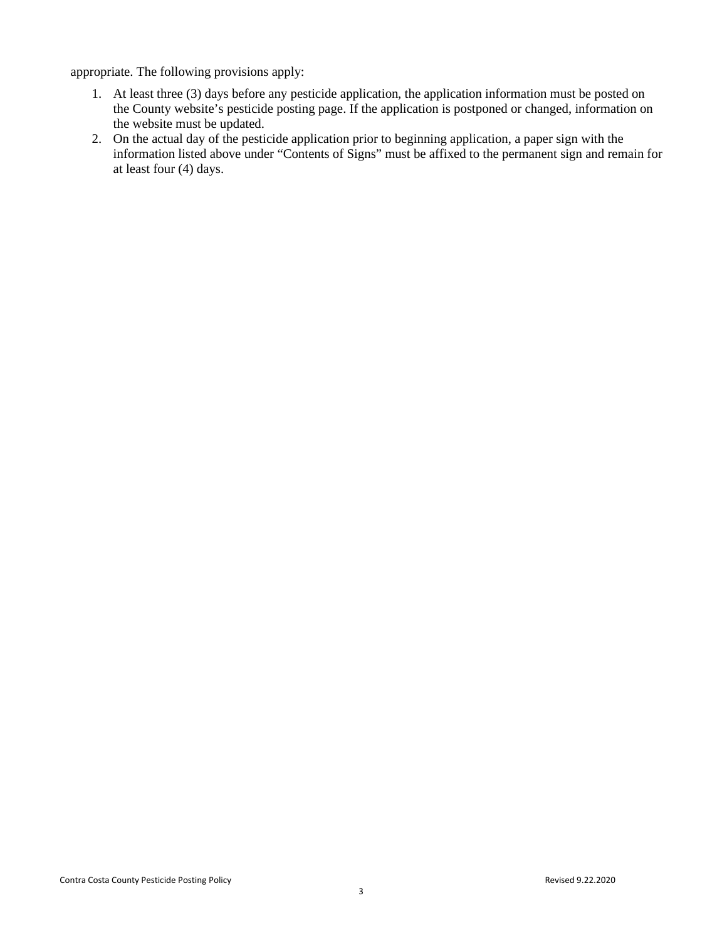appropriate. The following provisions apply:

- 1. At least three (3) days before any pesticide application, the application information must be posted on the County website's pesticide posting page. If the application is postponed or changed, information on the website must be updated.
- 2. On the actual day of the pesticide application prior to beginning application, a paper sign with the information listed above under "Contents of Signs" must be affixed to the permanent sign and remain for at least four (4) days.